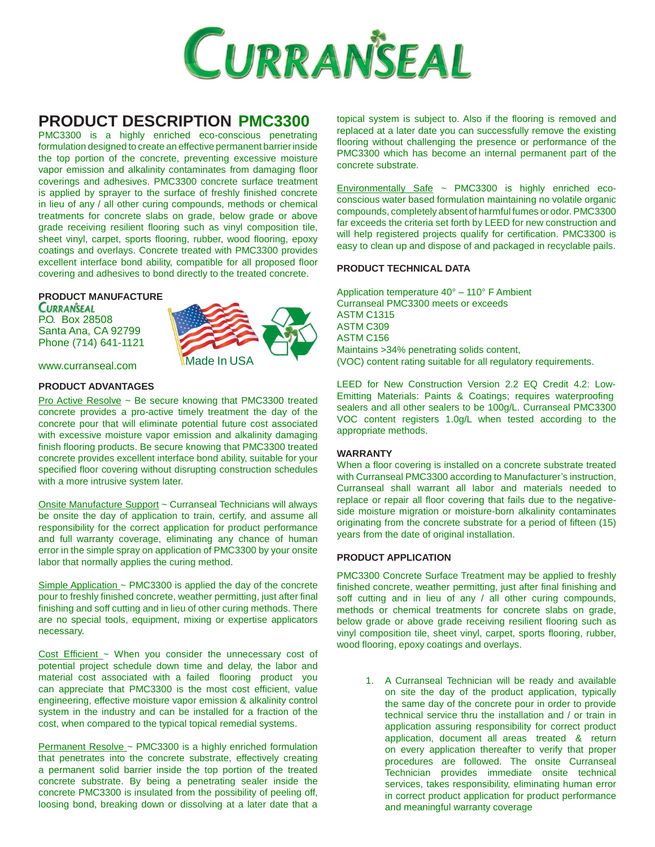

# **PRODUCT DESCRIPTION PMC3300**

PMC3300 is a highly enriched eco-conscious penetrating formulation designed to create an effective permanent barrier inside the top portion of the concrete, preventing excessive moisture vapor emission and alkalinity contaminates from damaging floor coverings and adhesives. PMC3300 concrete surface treatment is applied by sprayer to the surface of freshly finished concrete in lieu of any / all other curing compounds, methods or chemical treatments for concrete slabs on grade, below grade or above grade receiving resilient flooring such as vinyl composition tile, sheet vinyl, carpet, sports flooring, rubber, wood flooring, epoxy coatings and overlays. Concrete treated with PMC3300 provides excellent interface bond ability, compatible for all proposed floor covering and adhesives to bond directly to the treated concrete.

# **PRODUCT MANUFACTURE**

**CURRANSEAL** P.O. Box 28508 Santa Ana, CA 92799 Phone (714) 641-1121



[www.curranseal.com](http://www.curranseal.com/)

# **PRODUCT ADVANTAGES**

Pro Active Resolve ~ Be secure knowing that PMC3300 treated concrete provides a pro-active timely treatment the day of the concrete pour that will eliminate potential future cost associated with excessive moisture vapor emission and alkalinity damaging finish flooring products. Be secure knowing that PMC3300 treated concrete provides excellent interface bond ability, suitable for your specified floor covering without disrupting construction schedules with a more intrusive system later.

Onsite Manufacture Support ~ Curranseal Technicians will always be onsite the day of application to train, certify, and assume all responsibility for the correct application for product performance and full warranty coverage, eliminating any chance of human error in the simple spray on application of PMC3300 by your onsite labor that normally applies the curing method.

Simple Application ~ PMC3300 is applied the day of the concrete pour to freshly finished concrete, weather permitting, just after final finishing and soff cutting and in lieu of other curing methods. There are no special tools, equipment, mixing or expertise applicators necessary.

Cost Efficient  $\sim$  When you consider the unnecessary cost of potential project schedule down time and delay, the labor and material cost associated with a failed flooring product you can appreciate that PMC3300 is the most cost efficient, value engineering, effective moisture vapor emission & alkalinity control system in the industry and can be installed for a fraction of the cost, when compared to the typical topical remedial systems.

Permanent Resolve ~ PMC3300 is a highly enriched formulation that penetrates into the concrete substrate, effectively creating a permanent solid barrier inside the top portion of the treated concrete substrate. By being a penetrating sealer inside the concrete PMC3300 is insulated from the possibility of peeling off, loosing bond, breaking down or dissolving at a later date that a

topical system is subject to. Also if the flooring is removed and replaced at a later date you can successfully remove the existing flooring without challenging the presence or performance of the PMC3300 which has become an internal permanent part of the concrete substrate.

Environmentally Safe ~ PMC3300 is highly enriched ecoconscious water based formulation maintaining no volatile organic compounds, completely absent of harmful fumes or odor.PMC3300 far exceeds the criteria set forth by LEED for new construction and will help registered projects qualify for certification. PMC3300 is easy to clean up and dispose of and packaged in recyclable pails.

# **PRODUCT TECHNICAL DATA**

Application temperature 40° – 110° F Ambient Curranseal PMC3300 meets or exceeds ASTM C1315 ASTM C309 ASTM C156 Maintains >34% penetrating solids content, Made In USA (VOC) content rating suitable for all regulatory requirements.

> LEED for New Construction Version 2.2 EQ Credit 4.2: Low-Emitting Materials: Paints & Coatings; requires waterproofing sealers and all other sealers to be 100g/L. Curranseal PMC3300 VOC content registers 1.0g/L when tested according to the appropriate methods.

#### **WARRANTY**

When a floor covering is installed on a concrete substrate treated with Curranseal PMC3300 according to Manufacturer's instruction, Curranseal shall warrant all labor and materials needed to replace or repair all floor covering that fails due to the negativeside moisture migration or moisture-born alkalinity contaminates originating from the concrete substrate for a period of fifteen (15) years from the date of original installation.

#### **PRODUCT APPLICATION**

PMC3300 Concrete Surface Treatment may be applied to freshly finished concrete, weather permitting, just after final finishing and soff cutting and in lieu of any / all other curing compounds, methods or chemical treatments for concrete slabs on grade, below grade or above grade receiving resilient flooring such as vinyl composition tile, sheet vinyl, carpet, sports flooring, rubber, wood flooring, epoxy coatings and overlays.

> 1. A Curranseal Technician will be ready and available on site the day of the product application, typically the same day of the concrete pour in order to provide technical service thru the installation and / or train in application assuring responsibility for correct product application, document all areas treated & return on every application thereafter to verify that proper procedures are followed. The onsite Curranseal Technician provides immediate onsite technical services, takes responsibility, eliminating human error in correct product application for product performance and meaningful warranty coverage